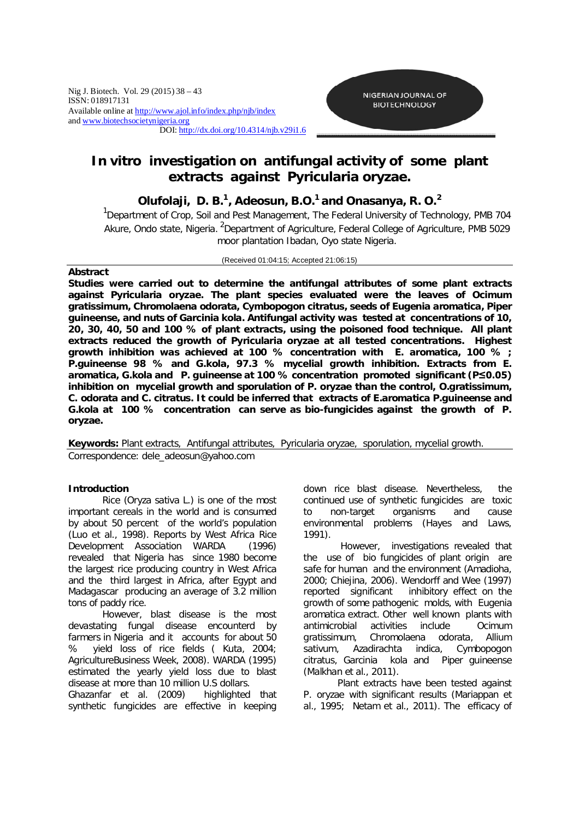

# *In vitro* **investigation on antifungal activity of some plant extracts against** *Pyricularia oryzae***.**

## **Olufolaji, D. B. 1 , Adeosun, B.O. 1 and Onasanya, R. O. 2**

<sup>1</sup>Department of Crop, Soil and Pest Management, The Federal University of Technology, PMB 704 Akure, Ondo state, Nigeria. <sup>2</sup>Department of Agriculture, Federal College of Agriculture, PMB 5029 moor plantation Ibadan, Oyo state Nigeria.

#### (Received 01:04:15; Accepted 21:06:15)

## **Abstract**

**Studies were carried out to determine the antifungal attributes of some plant extracts against** *Pyricularia oryzae***. The plant species evaluated were the leaves of** *Ocimum gratissimum***,** *Chromolaena odorata, Cymbopogon citratus,* **seeds of** *Eugenia aromatica***,** *Piper guineense,* **and nuts of** *Garcinia kola***. Antifungal activity was tested at concentrations of 10, 20, 30, 40, 50 and 100 % of plant extracts, using the poisoned food technique. All plant extracts reduced the growth of** *Pyricularia oryzae* **at all tested concentrations. Highest growth inhibition was achieved at 100 % concentration with** *E. aromatica***, 100 % ;**  *P.guineense* **98 % and** *G.kola,* **97.3 % mycelial growth inhibition. Extracts from** *E. aromatica, G.kola* **and** *P. guineense* **at 100 % concentration promoted significant (P≤0.05) inhibition on mycelial growth and sporulation of** *P. oryzae* **than the control,** *O.gratissimum***,**  *C. odorata* **and** *C. citratus***. It could be inferred that extracts of** *E.aromatica P.guineense* **and**  *G.kola* **at 100 % concentration can serve as bio-fungicides against the growth of** *P. oryzae.*

**Keywords:** Plant extracts, Antifungal attributes, *Pyricularia oryzae,* sporulation, mycelial growth. *Correspondence: dele\_adeosun@yahoo.com*

## **Introduction**

Rice (*Oryza sativa* L.) is one of the most important cereals in the world and is consumed by about 50 percent of the world's population (Luo *et al.,* 1998). Reports by West Africa Rice Development Association WARDA (1996) revealed that Nigeria has since 1980 become the largest rice producing country in West Africa and the third largest in Africa, after Egypt and Madagascar producing an average of 3.2 million tons of paddy rice.

However, blast disease is the most devastating fungal disease encounterd by farmers in Nigeria and it accounts for about 50 % yield loss of rice fields ( Kuta, 2004; AgricultureBusiness Week, 2008). WARDA (1995) estimated the yearly yield loss due to blast disease at more than 10 million U.S dollars.

Ghazanfar *et al*. (2009) highlighted that synthetic fungicides are effective in keeping down rice blast disease. Nevertheless, the continued use of synthetic fungicides are toxic to non-target organisms and cause environmental problems (Hayes and Laws, 1991).

However, investigations revealed that the use of bio fungicides of plant origin are safe for human and the environment (Amadioha, 2000; Chiejina, 2006). Wendorff and Wee (1997) reported significant inhibitory effect on the growth of some pathogenic molds, with *Eugenia aromatica* extract. Other well known plants with antimicrobial activities include *Ocimum gratissimum, Chromolaena odorata, Allium sativum, Azadirachta indica, Cymbopogon citratus, Garcinia kola* and *Piper guineense* (Malkhan *et al*., 2011).

Plant extracts have been tested against *P. oryzae* with significant results (Mariappan *et al*., 1995; Netam *et al.,* 2011). The efficacy of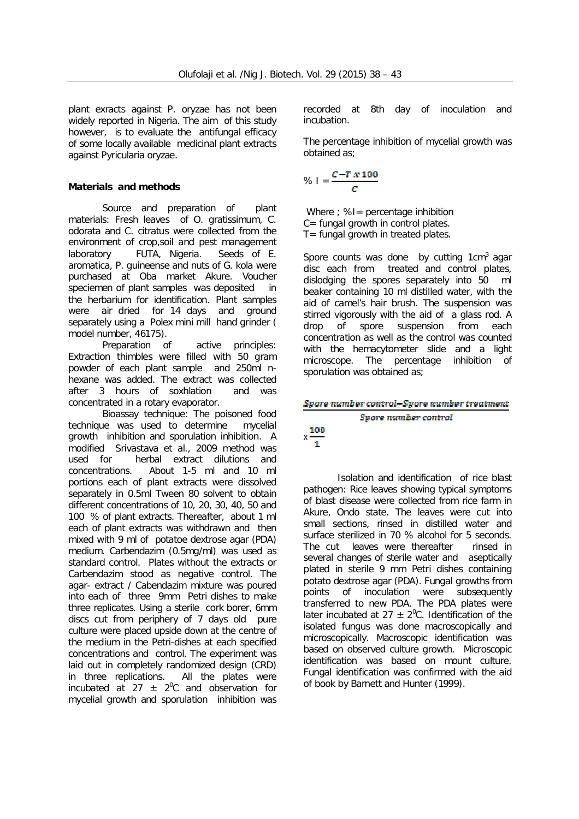plant exracts against *P. oryzae* has not been widely reported in Nigeria. The aim of this study however, is to evaluate the antifungal efficacy of some locally available medicinal plant extracts against *Pyricularia oryzae*.

## **Materials and methods**

*Source and preparation of plant materials:* Fresh leaves of *O. gratissimum*, *C. odorata* and *C. citratus* were collected from the environment of crop,soil and pest management laboratory FUTA, Nigeria. Seeds of *E. aromatica, P. guineense* and nuts of *G. kola* were purchased at Oba market Akure. Voucher speciemen of plant samples was deposited in the herbarium for identification. Plant samples were air dried for 14 days and ground separately using a Polex mini mill hand grinder ( model number, 46175).<br>*Preparation of* 

*active principles:* Extraction thimbles were filled with 50 gram powder of each plant sample and 250ml nhexane was added. The extract was collected after 3 hours of soxhlation and was concentrated in a rotary evaporator.

*Bioassay technique:* The poisoned food technique was used to determine mycelial growth inhibition and sporulation inhibition. A modified Srivastava *et al*., 2009 method was used for herbal extract dilutions and concentrations. About 1-5 ml and 10 ml portions each of plant extracts were dissolved separately in 0.5ml Tween 80 solvent to obtain different concentrations of 10, 20, 30, 40, 50 and 100 % of plant extracts. Thereafter, about 1 ml each of plant extracts was withdrawn and then mixed with 9 ml of potatoe dextrose agar (PDA) medium. Carbendazim (0.5mg/ml) was used as standard control. Plates without the extracts or Carbendazim stood as negative control. The agar- extract / Cabendazim mixture was poured into each of three 9mm Petri dishes to make three replicates. Using a sterile cork borer, 6mm discs cut from periphery of 7 days old pure culture were placed upside down at the centre of the medium in the Petri-dishes at each specified concentrations and control. The experiment was laid out in completely randomized design (CRD) in three replications. All the plates were incubated at 27  $\pm$  2<sup>o</sup>C and observation for mycelial growth and sporulation inhibition was

recorded at 8th day of inoculation and incubation.

The percentage inhibition of mycelial growth was obtained as;

$$
\% I = \frac{C - T \times 100}{C}
$$

Where ; %I= percentage inhibition C= fungal growth in control plates.  $T=$  fungal growth in treated plates.

Spore counts was done by cutting  $1 \text{cm}^3$  agar disc each from treated and control plates, dislodging the spores separately into 50 ml beaker containing 10 ml distilled water, with the aid of camel's hair brush. The suspension was stirred vigorously with the aid of a glass rod. A drop of spore suspension from each concentration as well as the control was counted with the hemacytometer slide and a light microscope. The percentage inhibition of sporulation was obtained as;

## Spore number control-Spore number treatment

## Spore number control

 $x \frac{100}{1}$ 

*Isolation and identification of rice blast pathogen:* Rice leaves showing typical symptoms of blast disease were collected from rice farm in Akure, Ondo state. The leaves were cut into small sections, rinsed in distilled water and surface sterilized in 70 % alcohol for 5 seconds. The cut leaves were thereafter rinsed in several changes of sterile water and aseptically plated in sterile 9 mm Petri dishes containing potato dextrose agar (PDA). Fungal growths from points of inoculation were subsequently transferred to new PDA. The PDA plates were later incubated at  $27 \pm 2^0$ C. Identification of the isolated fungus was done macroscopically and microscopically. Macroscopic identification was based on observed culture growth. Microscopic identification was based on mount culture. Fungal identification was confirmed with the aid of book by Barnett and Hunter (1999).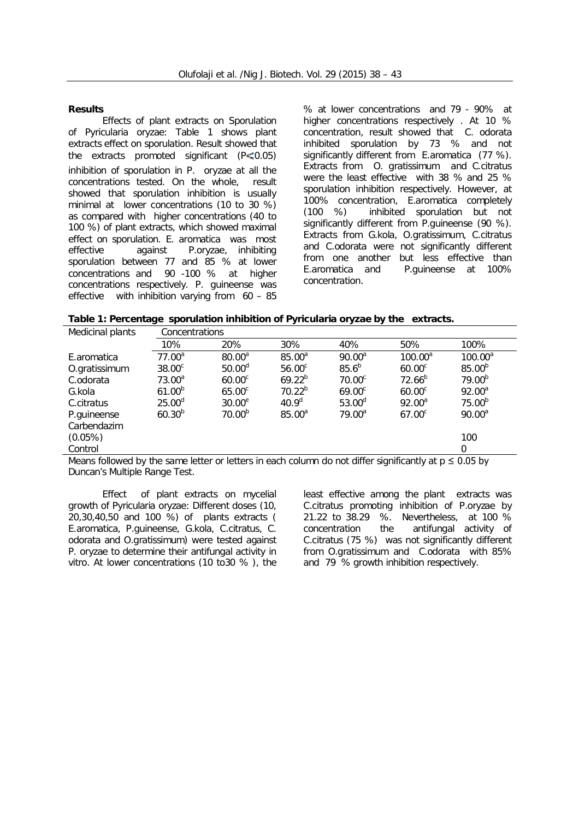#### **Results**

*Effects of plant extracts on Sporulation of Pyricularia oryzae:* Table 1 shows plant extracts effect on sporulation. Result showed that the extracts promoted significant  $(P \le 0.05)$ inhibition of sporulation in *P. oryzae* at all the concentrations tested. On the whole, result showed that sporulation inhibition is usually minimal at lower concentrations (10 to 30 %) as compared with higher concentrations (40 to 100 %) of plant extracts, which showed maximal effect on sporulation. *E. aromatica* was most effective against *P.oryzae,* inhibiting sporulation between 77 and 85 % at lower concentrations and 90 -100 % at higher concentrations respectively. *P. guineense* was effective with inhibition varying from 60 – 85

% at lower concentrations and 79 - 90% at higher concentrations respectively . At 10 % concentration, result showed that *C. odorata* inhibited sporulation by 73 % and not significantly different from *E.aromatica* (77 %). Extracts from *O. gratissimum* and *C.citratus*  were the least effective with 38 % and 25 % sporulation inhibition respectively. However, at 100% concentration, *E.aromatica* completely inhibited sporulation but not significantly different from *P.guineense* (90 %). Extracts from *G.kola, O.gratissimum, C.citratus*  and *C.odorata* were not significantly different from one another but less effective than *E.aromatica* and *P.guineense* at 100% concentration.

| Medicinal plants                                                                                            | Concentrations     |                    |                    |                    |                    |                    |  |  |  |
|-------------------------------------------------------------------------------------------------------------|--------------------|--------------------|--------------------|--------------------|--------------------|--------------------|--|--|--|
|                                                                                                             | 10%                | 20%                | 30%                | 40%                | 50%                | 100%               |  |  |  |
| E.aromatica                                                                                                 | $77.00^a$          | $80.00^{\circ}$    | $85.00^a$          | $90.00^a$          | $100.00^a$         | $100.00^a$         |  |  |  |
| O.gratissimum                                                                                               | 38.00 <sup>c</sup> | $50.00^{\circ}$    | 56.00 <sup>c</sup> | $85.6^{b}$         | $60.00^\circ$      | $85.00^{b}$        |  |  |  |
| C.odorata                                                                                                   | $73.00^a$          | 60.00 <sup>c</sup> | $69.22^{b}$        | 70.00 <sup>c</sup> | $72.66^{b}$        | 79.00 <sup>b</sup> |  |  |  |
| G.kola                                                                                                      | $61.00^{b}$        | $65.00^{\circ}$    | $70.22^{b}$        | $69.00^{\circ}$    | 60.00 <sup>c</sup> | $92.00^a$          |  |  |  |
| C.citratus                                                                                                  | $25.00^d$          | $30.00^e$          | 40.9 <sup>d</sup>  | $53.00^{\circ}$    | $92.00^a$          | 75.00 <sup>b</sup> |  |  |  |
| P.guineense                                                                                                 | $60.30^{b}$        | 70.00 <sup>b</sup> | $85.00^a$          | $79.00^a$          | 67.00 <sup>c</sup> | $90.00^a$          |  |  |  |
| Carbendazim                                                                                                 |                    |                    |                    |                    |                    |                    |  |  |  |
| $(0.05\%)$                                                                                                  |                    |                    |                    |                    |                    | 100                |  |  |  |
| Control                                                                                                     |                    |                    |                    |                    |                    | $\Omega$           |  |  |  |
| Means followed by the same letter or letters in each column do not differ significantly at $n \leq 0.05$ by |                    |                    |                    |                    |                    |                    |  |  |  |

Means followed by the same letter or letters in each column do not differ significantly at  $p \le 0.05$  by Duncan's Multiple Range Test.

*Effect of plant extracts on mycelial growth of Pyricularia oryzae:* Different doses (10, 20,30,40,50 and 100 %) of plants extracts ( *E.aromatica*, *P.guineense*, *G.kola, C.citratus, C. odorata* and *O.gratissimum*) were tested against *P. oryzae* to determine their antifungal activity *in vitro*. At lower concentrations (10 to30 % ), the

least effective among the plant extracts was *C.citratus* promoting inhibition of *P.oryzae* by 21.22 to 38.29 %*.* Nevertheless, at 100 % concentration the antifungal activity of *C.citratus* (75 %)was not significantly different from *O.gratissimum* and *C.odorata* with 85% and 79 % growth inhibition respectively.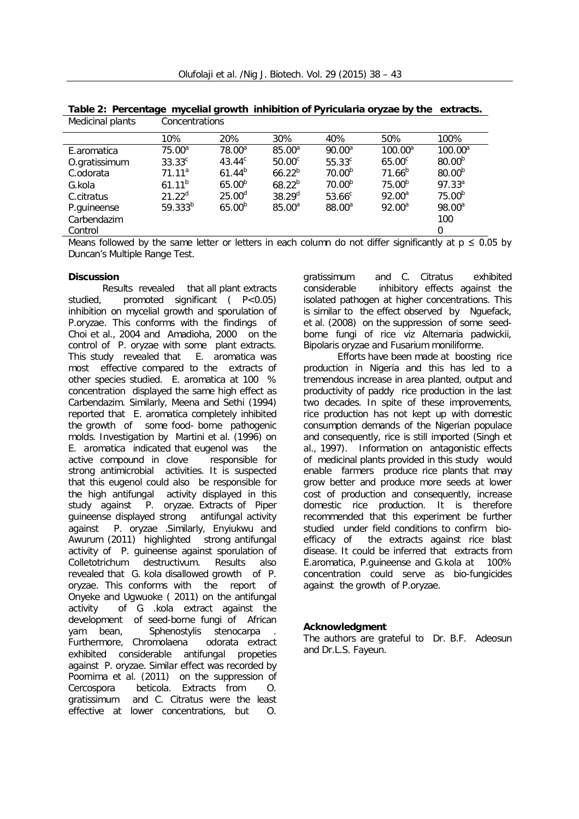| Medicinal plants                             | Concentrations     |                    |                    |                    |                     |                             |  |  |
|----------------------------------------------|--------------------|--------------------|--------------------|--------------------|---------------------|-----------------------------|--|--|
|                                              | 10%                | 20%                | 30%                | 40%                | 50%                 | 100%                        |  |  |
| E.aromatica                                  | 75.00 <sup>a</sup> | 78.00 <sup>a</sup> | 85.00 <sup>a</sup> | 90.00 <sup>a</sup> | $100.00^a$          | $100.00^a$                  |  |  |
| O.gratissimum                                | $33.33^c$          | $43.44^c$          | 50.00 <sup>c</sup> | $55.33^{c}$        | $65.00^c$           | $80.00^{b}$                 |  |  |
| C.odorata                                    | 71.11 <sup>a</sup> | $61.44^{b}$        | $66.22^{b}$        | 70.00 <sup>b</sup> | $71.66^{b}$         | $80.00^{b}$                 |  |  |
| G.kola                                       | $61.11^{b}$        | 65.00 <sup>b</sup> | $68.22^{b}$        | 70.00 <sup>b</sup> | $75.00^{b}$         | 97.33 <sup>a</sup>          |  |  |
| C.citratus                                   | $21.22^d$          | $25.00^d$          | $38.29^{d}$        | 53.66 <sup>c</sup> | $92.00^a$           | $75.00^{b}$                 |  |  |
| P.guineense                                  | $59.333^{b}$       | $65.00^{b}$        | $85.00^a$          | 88.00 <sup>a</sup> | $92.00^a$           | 98.00 <sup>a</sup>          |  |  |
| Carbendazim                                  |                    |                    |                    |                    |                     | 100                         |  |  |
| Control                                      |                    |                    |                    |                    |                     | 0                           |  |  |
| $\mathbf{A}$<br>$\sim$ $\blacksquare$<br>. . | .<br>.             | .                  |                    |                    | $\cdots$<br>$\cdot$ | $\sim$ $\sim$ $\sim$<br>. . |  |  |

**Table 2: Percentage mycelial growth inhibition of** *Pyricularia oryzae* **by the extracts.**

Means followed by the same letter or letters in each column do not differ significantly at  $p \le 0.05$  by Duncan's Multiple Range Test.

## **Discussion**

Results revealed that all plant extracts studied, promoted significant ( P<0.05) inhibition on mycelial growth and sporulation of *P.oryzae*. This conforms with the findings of Choi *et al.,* 2004 and Amadioha, 2000 on the control of *P. oryzae* with some plant extracts. This study revealed that *E. aromatica* was most effective compared to the extracts of other species studied. *E. aromatica* at 100 % concentration displayed the same high effect as Carbendazim. Similarly, Meena and Sethi (1994) reported that *E. aromatica* completely inhibited the growth of some food- borne pathogenic molds. Investigation by Martini *et al.* (1996) on *E. aromatica* indicated that eugenol was the active compound in clove responsible for strong antimicrobial activities. It is suspected that this eugenol could also be responsible for the high antifungal activity displayed in this study against *P. oryzae.* Extracts of *Piper guineense* displayed strong antifungal activity against *P. oryzae* .Similarly, Enyiukwu and Awurum (2011) highlighted strong antifungal activity of *P. guineense* against sporulation of *Colletotrichum destructivum.* Results also revealed that *G. kola* disallowed growth of *P. oryzae.* This conforms with the report of Onyeke and Ugwuoke ( 2011) on the antifungal activity of *G .kola* extract against the development of seed-borne fungi of African yam bean, *Sphenostylis stenocarpa* . Furthermore, *Chromolaena odorata* extract exhibited considerable antifungal propeties against *P. oryzae*. Similar effect was recorded by Poornima *et al.* (2011) on the suppression of *Cercospora beticola*. Extracts from *O. gratissimum* and *C. Citratus* were the least effective at lower concentrations, but *O.* 

*gratissimum* and *C. Citratus* exhibited considerable inhibitory effects against the isolated pathogen at higher concentrations. This is similar to the effect observed by Nguefack, *et al.* (2008) on the suppression of some seedborne fungi of rice viz *Alternaria padwickii*, *Bipolaris oryzae* and *Fusarium moniliforme.*

Efforts have been made at boosting rice production in Nigeria and this has led to a tremendous increase in area planted, output and productivity of paddy rice production in the last two decades. In spite of these improvements, rice production has not kept up with domestic consumption demands of the Nigerian populace and consequently, rice is still imported (Singh *et al*., 1997). Information on antagonistic effects of medicinal plants provided in this study would enable farmers produce rice plants that may grow better and produce more seeds at lower cost of production and consequently, increase domestic rice production. It is therefore recommended that this experiment be further studied under field conditions to confirm bioefficacy of the extracts against rice blast disease. It could be inferred that extracts from *E.aromatica, P.guineense* and *G.kola* at 100% concentration could serve as bio-fungicides against the growth of *P.oryzae.*

#### **Acknowledgment**

The authors are grateful to Dr. B.F. Adeosun and Dr.L.S. Fayeun.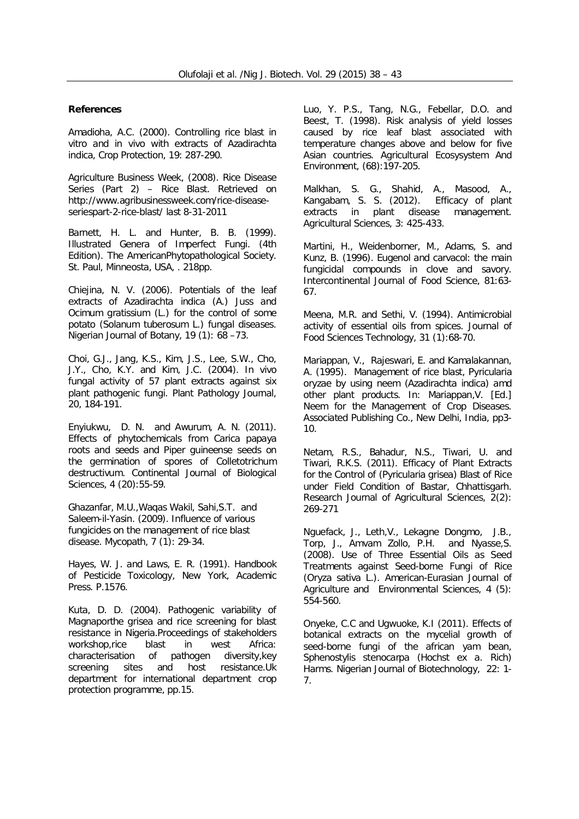#### **References**

Amadioha, A.C. (2000). Controlling rice blast *in vitro* and *in vivo* with extracts of *Azadirachta indica*, Crop Protection*,* 19: 287-290.

Agriculture Business Week, (2008). Rice Disease Series (Part 2) – Rice Blast. Retrieved on http://www.agribusinessweek.com/rice-diseaseseriespart-2-rice-blast/ last 8-31-2011

Barnett, H. L. and Hunter, B. B. (1999). Illustrated Genera of Imperfect Fungi. (4th Edition). The AmericanPhytopathological Society. St. Paul, Minneosta, USA, . 218pp.

Chiejina, N. V. (2006). Potentials of the leaf extracts of *Azadirachta indica* (A.) Juss and *Ocimum gratissium* (L.) for the control of some potato (*Solanum tuberosum L.*) fungal diseases. Nigerian Journal of Botany, 19 (1): 68 –73.

Choi, G.J., Jang, K.S., Kim, J.S., Lee, S.W., Cho, J.Y., Cho, K.Y. and Kim, J.C. (2004). *In vivo*  fungal activity of 57 plant extracts against six plant pathogenic fungi. Plant Pathology Journal, 20, 184-191.

Enyiukwu, D. N. and Awurum, A. N. (2011). Effects of phytochemicals from *Carica papaya*  roots and seeds and *Piper guineense* seeds on the germination of spores of *Colletotrichum destructivum.* Continental Journal of Biological Sciences, 4 (20):55-59.

Ghazanfar, M.U.,Waqas Wakil, Sahi,S.T. and Saleem-il-Yasin. (2009). Influence of various fungicides on the management of rice blast disease. Mycopath*,* 7 (1): 29-34.

Hayes, W. J. and Laws, E. R. (1991). *Handbook of Pesticide Toxicology*, New York, Academic Press. P.1576.

Kuta, D. D. (2004). Pathogenic variability of Magnaporthe grisea and rice screening for blast resistance in Nigeria.Proceedings of stakeholders workshop,rice blast in west Africa:<br>characterisation of pathogen diversity, kev characterisation of pathogen diversity,key screening sites and host resistance.Uk department for international department crop protection programme, pp.15.

Luo, Y. P.S., Tang, N.G., Febellar, D.O. and Beest, T. (1998). Risk analysis of yield losses caused by rice leaf blast associated with temperature changes above and below for five Asian countries. Agricultural Ecosysystem And Environment, (68):197-205.

Malkhan, S. G., Shahid, A., Masood, A., Kangabam, S. S. (2012). Efficacy of plant extracts in plant disease management. Agricultural Sciences, 3: 425-433.

Martini, H., Weidenborner, M., Adams, S. and Kunz, B. (1996). Eugenol and carvacol: the main fungicidal compounds in clove and savory. Intercontinental Journal of Food Science, 81:63- 67.

Meena, M.R. and Sethi, V. (1994). Antimicrobial activity of essential oils from spices. Journal of Food Sciences Technology, 31 (1):68-70.

Mariappan, V., Rajeswari, E. and Kamalakannan, A. (1995). Management of rice blast, *Pyricularia oryzae* by using neem (*Azadirachta indica)* amd other plant products. *In:* Mariappan,V. [Ed.] Neem for the Management of Crop Diseases. Associated Publishing Co., New Delhi, India, pp3- 10.

Netam, R.S., Bahadur, N.S., Tiwari, U. and Tiwari, R.K.S. (2011). Efficacy of Plant Extracts for the Control of (*Pyricularia grisea*) Blast of Rice under Field Condition of Bastar, Chhattisgarh. Research Journal of Agricultural Sciences, 2(2): 269-271

Nguefack, J., Leth,V., Lekagne Dongmo, J.B., Torp, J., Amvam Zollo, P.H. and Nyasse,S. (2008). Use of Three Essential Oils as Seed Treatments against Seed-borne Fungi of Rice (*Oryza sativa* L.). American-Eurasian Journal of Agriculture and Environmental Sciences, 4 (5): 554-560.

Onyeke, C.C and Ugwuoke, K.I (2011). Effects of botanical extracts on the mycelial growth of seed-borne fungi of the african yam bean, *Sphenostylis stenocarpa* (Hochst ex a. Rich) Harms. Nigerian Journal of Biotechnology, 22: 1- 7.